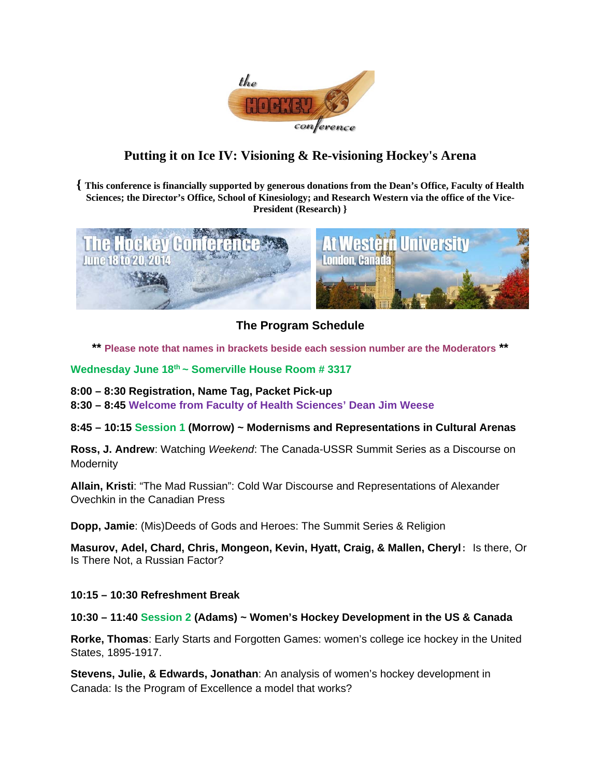

# **Putting it on Ice IV: Visioning & Re-visioning Hockey's Arena**

**{ This conference is financially supported by generous donations from the Dean's Office, Faculty of Health Sciences; the Director's Office, School of Kinesiology; and Research Western via the office of the Vice-President (Research) }** 



**The Program Schedule** 

**\*\* Please note that names in brackets beside each session number are the Moderators \*\*** 

# **Wednesday June 18th ~ Somerville House Room # 3317**

**8:00 – 8:30 Registration, Name Tag, Packet Pick-up** 

**8:30 – 8:45 Welcome from Faculty of Health Sciences' Dean Jim Weese** 

**8:45 – 10:15 Session 1 (Morrow) ~ Modernisms and Representations in Cultural Arenas**

**Ross, J. Andrew**: Watching *Weekend*: The Canada-USSR Summit Series as a Discourse on **Modernity** 

**Allain, Kristi**: "The Mad Russian": Cold War Discourse and Representations of Alexander Ovechkin in the Canadian Press

**Dopp, Jamie**: (Mis)Deeds of Gods and Heroes: The Summit Series & Religion

**Masurov, Adel, Chard, Chris, Mongeon, Kevin, Hyatt, Craig, & Mallen, Cheryl**: Is there, Or Is There Not, a Russian Factor?

## **10:15 – 10:30 Refreshment Break**

## **10:30 – 11:40 Session 2 (Adams) ~ Women's Hockey Development in the US & Canada**

**Rorke, Thomas**: Early Starts and Forgotten Games: women's college ice hockey in the United States, 1895-1917.

**Stevens, Julie, & Edwards, Jonathan**: An analysis of women's hockey development in Canada: Is the Program of Excellence a model that works?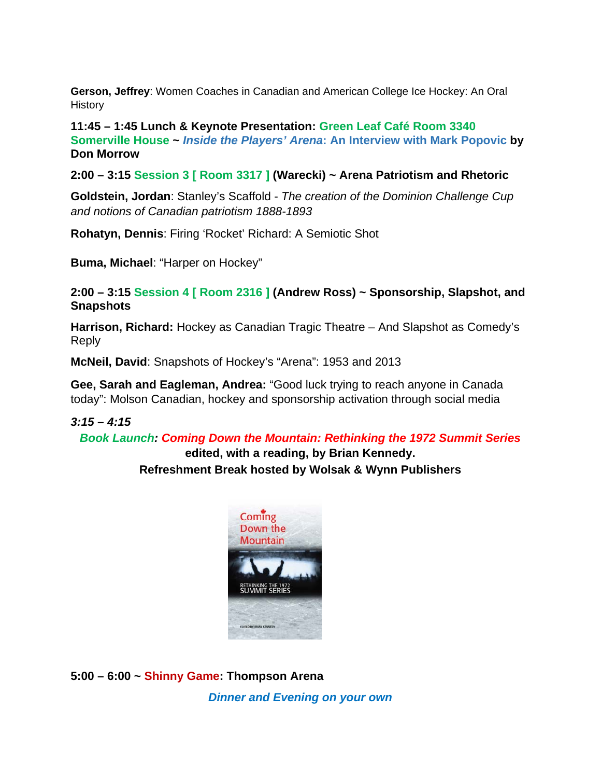**Gerson, Jeffrey**: Women Coaches in Canadian and American College Ice Hockey: An Oral **History** 

**11:45 – 1:45 Lunch & Keynote Presentation: Green Leaf Café Room 3340 Somerville House ~** *Inside the Players' Arena***: An Interview with Mark Popovic by Don Morrow** 

**2:00 – 3:15 Session 3 [ Room 3317 ] (Warecki) ~ Arena Patriotism and Rhetoric** 

**Goldstein, Jordan**: Stanley's Scaffold - *The creation of the Dominion Challenge Cup and notions of Canadian patriotism 1888-1893* 

**Rohatyn, Dennis**: Firing 'Rocket' Richard: A Semiotic Shot

**Buma, Michael**: "Harper on Hockey"

**2:00 – 3:15 Session 4 [ Room 2316 ] (Andrew Ross) ~ Sponsorship, Slapshot, and Snapshots** 

**Harrison, Richard:** Hockey as Canadian Tragic Theatre – And Slapshot as Comedy's Reply

**McNeil, David**: Snapshots of Hockey's "Arena": 1953 and 2013

**Gee, Sarah and Eagleman, Andrea:** "Good luck trying to reach anyone in Canada today": Molson Canadian, hockey and sponsorship activation through social media

# *3:15 – 4:15*

*Book Launch: Coming Down the Mountain: Rethinking the 1972 Summit Series*

# **edited, with a reading, by Brian Kennedy. Refreshment Break hosted by Wolsak & Wynn Publishers**



**5:00 – 6:00 ~ Shinny Game: Thompson Arena**  *Dinner and Evening on your own*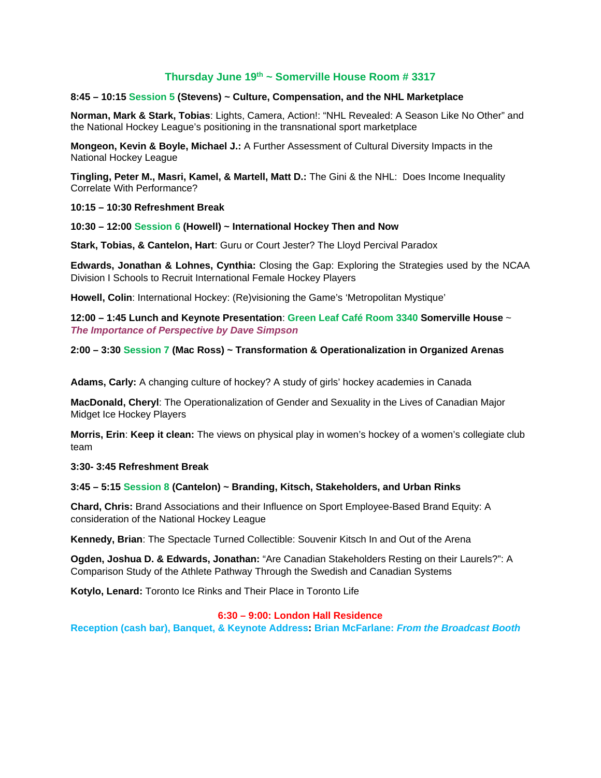# **Thursday June 19th ~ Somerville House Room # 3317**

#### **8:45 – 10:15 Session 5 (Stevens) ~ Culture, Compensation, and the NHL Marketplace**

**Norman, Mark & Stark, Tobias**: Lights, Camera, Action!: "NHL Revealed: A Season Like No Other" and the National Hockey League's positioning in the transnational sport marketplace

**Mongeon, Kevin & Boyle, Michael J.:** A Further Assessment of Cultural Diversity Impacts in the National Hockey League

**Tingling, Peter M., Masri, Kamel, & Martell, Matt D.:** The Gini & the NHL: Does Income Inequality Correlate With Performance?

**10:15 – 10:30 Refreshment Break** 

**10:30 – 12:00 Session 6 (Howell) ~ International Hockey Then and Now** 

**Stark, Tobias, & Cantelon, Hart**: Guru or Court Jester? The Lloyd Percival Paradox

**Edwards, Jonathan & Lohnes, Cynthia:** Closing the Gap: Exploring the Strategies used by the NCAA Division I Schools to Recruit International Female Hockey Players

**Howell, Colin**: International Hockey: (Re)visioning the Game's 'Metropolitan Mystique'

**12:00 – 1:45 Lunch and Keynote Presentation**: **Green Leaf Café Room 3340 Somerville House** ~ *The Importance of Perspective by Dave Simpson* 

**2:00 – 3:30 Session 7 (Mac Ross) ~ Transformation & Operationalization in Organized Arenas** 

**Adams, Carly:** A changing culture of hockey? A study of girls' hockey academies in Canada

**MacDonald, Cheryl**: The Operationalization of Gender and Sexuality in the Lives of Canadian Major Midget Ice Hockey Players

**Morris, Erin**: **Keep it clean:** The views on physical play in women's hockey of a women's collegiate club team

**3:30- 3:45 Refreshment Break** 

**3:45 – 5:15 Session 8 (Cantelon) ~ Branding, Kitsch, Stakeholders, and Urban Rinks** 

**Chard, Chris:** Brand Associations and their Influence on Sport Employee-Based Brand Equity: A consideration of the National Hockey League

**Kennedy, Brian**: The Spectacle Turned Collectible: Souvenir Kitsch In and Out of the Arena

**Ogden, Joshua D. & Edwards, Jonathan:** "Are Canadian Stakeholders Resting on their Laurels?": A Comparison Study of the Athlete Pathway Through the Swedish and Canadian Systems

**Kotylo, Lenard:** Toronto Ice Rinks and Their Place in Toronto Life

#### **6:30 – 9:00: London Hall Residence**

**Reception (cash bar), Banquet, & Keynote Address: Brian McFarlane:** *From the Broadcast Booth*